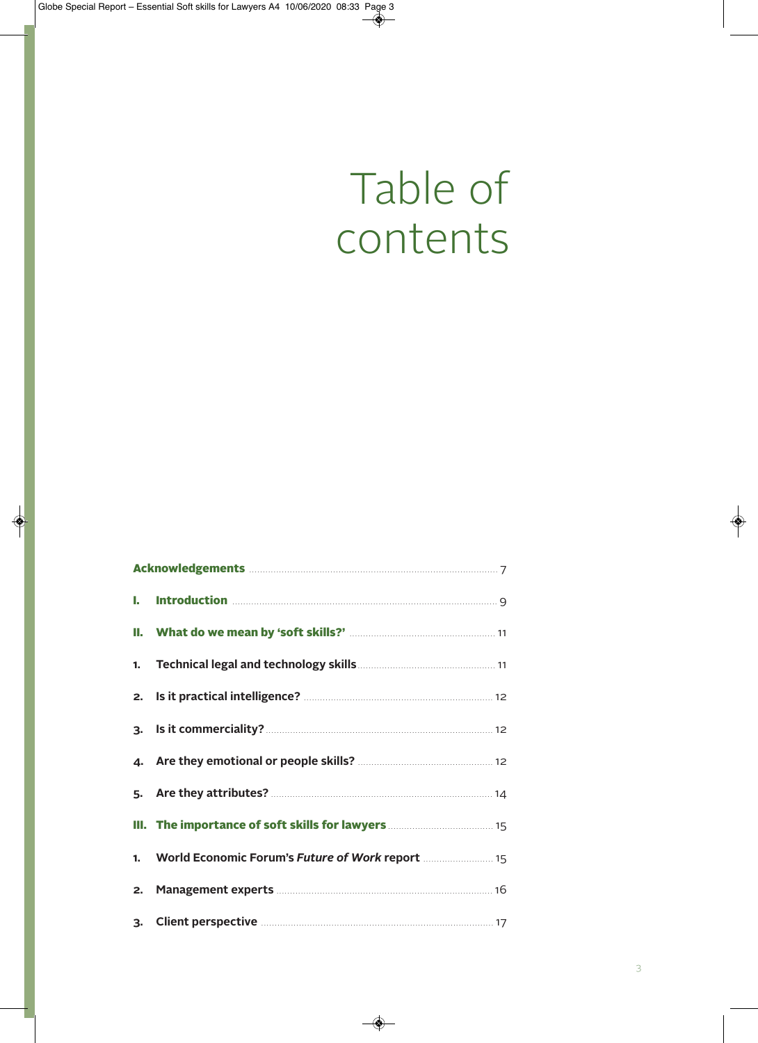## Table of contents

| III. The importance of soft skills for lawyers <b>Manual</b> 15 15  |  |
|---------------------------------------------------------------------|--|
| 1. World Economic Forum's Future of Work report <b>Multiples</b> 15 |  |
|                                                                     |  |
| 3. Client perspective <b>Manual</b> 27 17                           |  |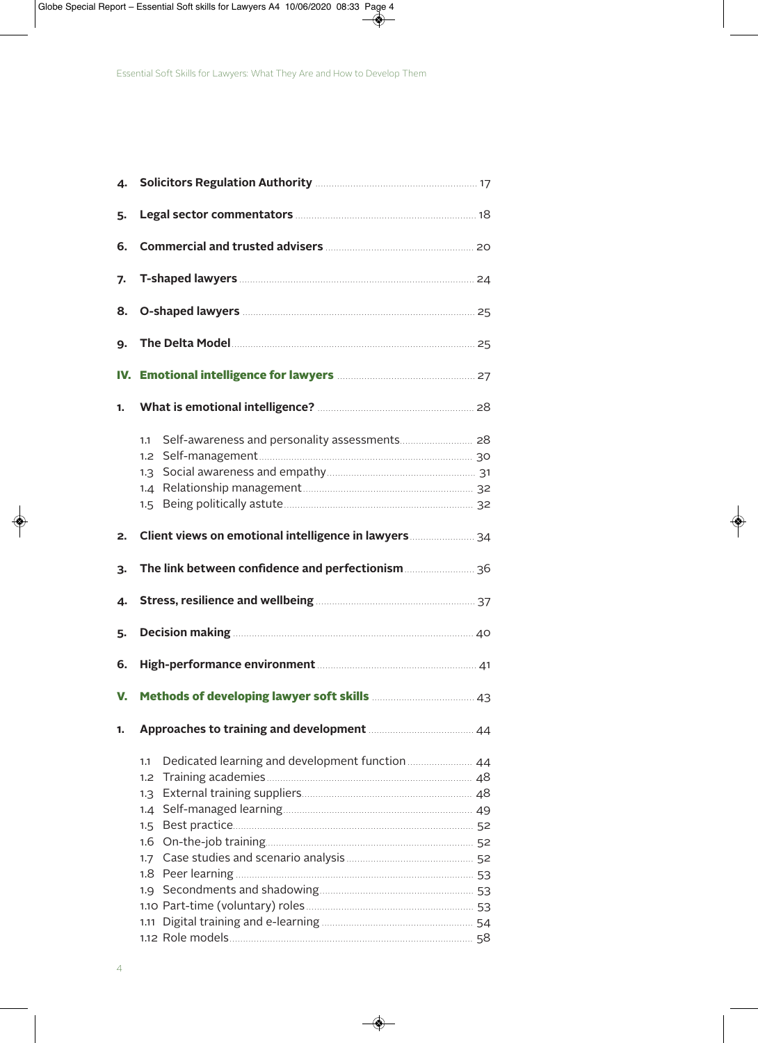| 4. |                                                                                                            |  |
|----|------------------------------------------------------------------------------------------------------------|--|
| 5. |                                                                                                            |  |
| 6. | Commercial and trusted advisers <b>Manual Accord 20</b> 20                                                 |  |
| 7. |                                                                                                            |  |
| 8. |                                                                                                            |  |
| 9. |                                                                                                            |  |
|    |                                                                                                            |  |
| 1. |                                                                                                            |  |
|    | 1.1<br>1.2<br>1.3<br>1.4<br>$1.5 -$                                                                        |  |
| 2. | Client views on emotional intelligence in lawyers <b>Client</b> views on emotional intelligence in lawyers |  |
| 3. |                                                                                                            |  |
| 4. | Stress, resilience and wellbeing <b>Manual Stress, resilience and wellbeing</b>                            |  |
| 5. |                                                                                                            |  |
| 6. |                                                                                                            |  |
| V. | Methods of developing lawyer soft skills <b>Methods</b> of developing lawyer soft skills                   |  |
| 1. | Approaches to training and development <b>Manufall</b> 44                                                  |  |
|    | Dedicated learning and development function <b>manual</b> 44<br>1.1<br>1.2<br>1.3<br>1.4<br>$1.5 -$<br>1.6 |  |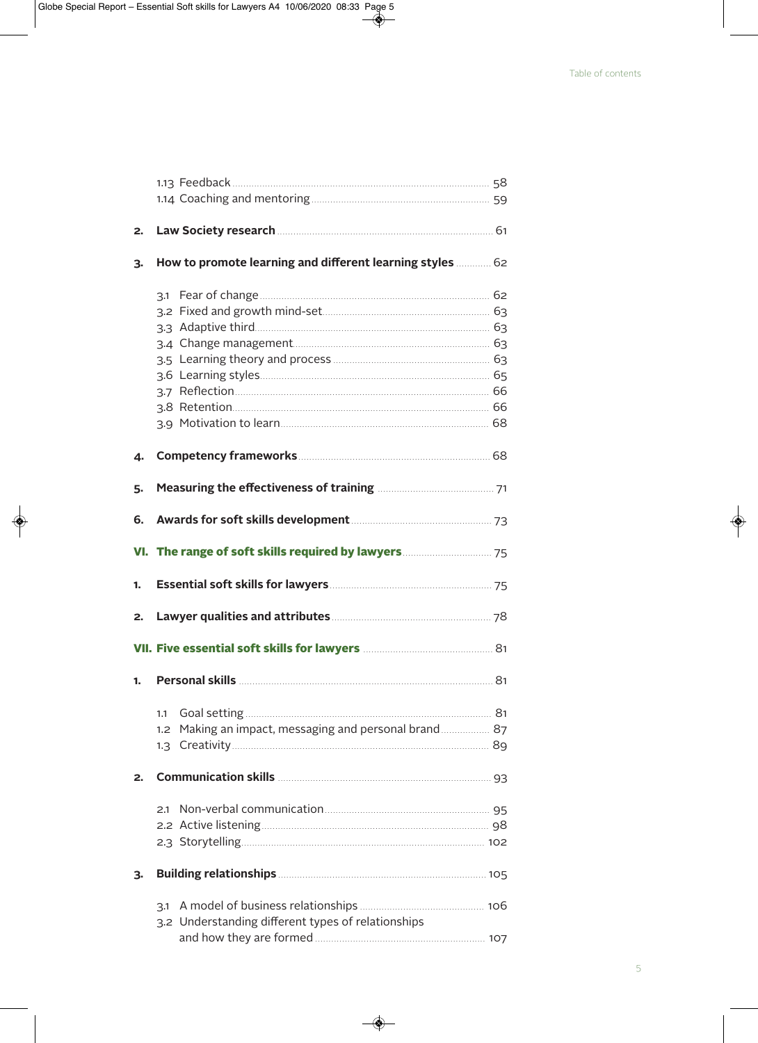| 2. |                                                                                                                                                                                                                                     |  |
|----|-------------------------------------------------------------------------------------------------------------------------------------------------------------------------------------------------------------------------------------|--|
| 3. | How to promote learning and different learning styles  62                                                                                                                                                                           |  |
|    |                                                                                                                                                                                                                                     |  |
|    |                                                                                                                                                                                                                                     |  |
|    |                                                                                                                                                                                                                                     |  |
|    |                                                                                                                                                                                                                                     |  |
|    |                                                                                                                                                                                                                                     |  |
|    |                                                                                                                                                                                                                                     |  |
|    |                                                                                                                                                                                                                                     |  |
|    |                                                                                                                                                                                                                                     |  |
|    |                                                                                                                                                                                                                                     |  |
| 4. |                                                                                                                                                                                                                                     |  |
| 5. |                                                                                                                                                                                                                                     |  |
| 6. |                                                                                                                                                                                                                                     |  |
|    |                                                                                                                                                                                                                                     |  |
| 1. | Essential soft skills for lawyers <b>Manual Strategie and Taylor</b> 75                                                                                                                                                             |  |
| 2. |                                                                                                                                                                                                                                     |  |
|    | VII. Five essential soft skills for lawyers <b>Manual Strauber and Strauber 31</b>                                                                                                                                                  |  |
| 1. |                                                                                                                                                                                                                                     |  |
|    | 1.1                                                                                                                                                                                                                                 |  |
|    | Making an impact, messaging and personal brand  87<br>1.2                                                                                                                                                                           |  |
|    |                                                                                                                                                                                                                                     |  |
| 2. | Communication skills <b>Manual According to the Second</b> State of Seconds State of Seconds State of Seconds State of Seconds State of Seconds State of Seconds State of Seconds State of Seconds State of Seconds State of Second |  |
|    | 2.1                                                                                                                                                                                                                                 |  |
|    |                                                                                                                                                                                                                                     |  |
|    |                                                                                                                                                                                                                                     |  |
| з. | Building relationships <b>Manual</b> 205                                                                                                                                                                                            |  |
|    | 3.1                                                                                                                                                                                                                                 |  |
|    | 3.2 Understanding different types of relationships                                                                                                                                                                                  |  |